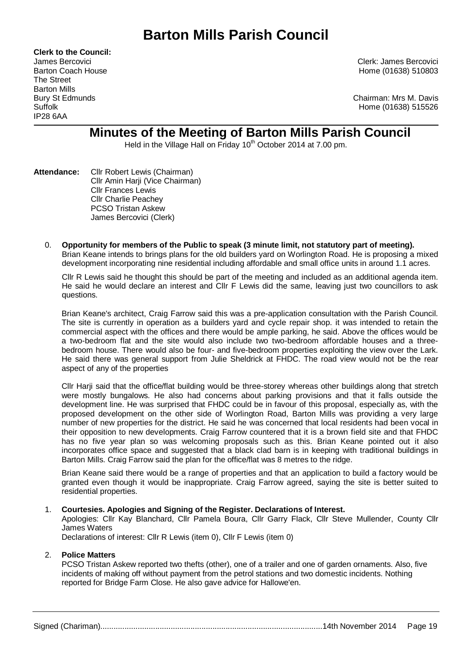# **Barton Mills Parish Council**

**Clerk to the Council:** The Street Barton Mills IP28 6AA

James Bercovici Clerk: James Bercovici Barton Coach House **Home (01638)** 510803

Bury St Edmunds Chairman: Mrs M. Davis Suffolk Home (01638) 515526

# **Minutes of the Meeting of Barton Mills Parish Council**

Held in the Village Hall on Friday 10<sup>th</sup> October 2014 at 7.00 pm.

- **Attendance:** Cllr Robert Lewis (Chairman) Cllr Amin Harji (Vice Chairman) Cllr Frances Lewis Cllr Charlie Peachey PCSO Tristan Askew James Bercovici (Clerk)
	- 0. **Opportunity for members of the Public to speak (3 minute limit, not statutory part of meeting).**  Brian Keane intends to brings plans for the old builders yard on Worlington Road. He is proposing a mixed development incorporating nine residential including affordable and small office units in around 1.1 acres.

Cllr R Lewis said he thought this should be part of the meeting and included as an additional agenda item. He said he would declare an interest and Cllr F Lewis did the same, leaving just two councillors to ask questions.

Brian Keane's architect, Craig Farrow said this was a pre-application consultation with the Parish Council. The site is currently in operation as a builders yard and cycle repair shop. it was intended to retain the commercial aspect with the offices and there would be ample parking, he said. Above the offices would be a two-bedroom flat and the site would also include two two-bedroom affordable houses and a threebedroom house. There would also be four- and five-bedroom properties exploiting the view over the Lark. He said there was general support from Julie Sheldrick at FHDC. The road view would not be the rear aspect of any of the properties

Cllr Harji said that the office/flat building would be three-storey whereas other buildings along that stretch were mostly bungalows. He also had concerns about parking provisions and that it falls outside the development line. He was surprised that FHDC could be in favour of this proposal, especially as, with the proposed development on the other side of Worlington Road, Barton Mills was providing a very large number of new properties for the district. He said he was concerned that local residents had been vocal in their opposition to new developments. Craig Farrow countered that it is a brown field site and that FHDC has no five year plan so was welcoming proposals such as this. Brian Keane pointed out it also incorporates office space and suggested that a black clad barn is in keeping with traditional buildings in Barton Mills. Craig Farrow said the plan for the office/flat was 8 metres to the ridge.

Brian Keane said there would be a range of properties and that an application to build a factory would be granted even though it would be inappropriate. Craig Farrow agreed, saying the site is better suited to residential properties.

# 1. **Courtesies. Apologies and Signing of the Register. Declarations of Interest.**

Apologies: Cllr Kay Blanchard, Cllr Pamela Boura, Cllr Garry Flack, Cllr Steve Mullender, County Cllr James Waters

Declarations of interest: Cllr R Lewis (item 0), Cllr F Lewis (item 0)

#### 2. **Police Matters**

PCSO Tristan Askew reported two thefts (other), one of a trailer and one of garden ornaments. Also, five incidents of making off without payment from the petrol stations and two domestic incidents. Nothing reported for Bridge Farm Close. He also gave advice for Hallowe'en.

Signed (Chariman).....................................................................................................14th November 2014 Page 19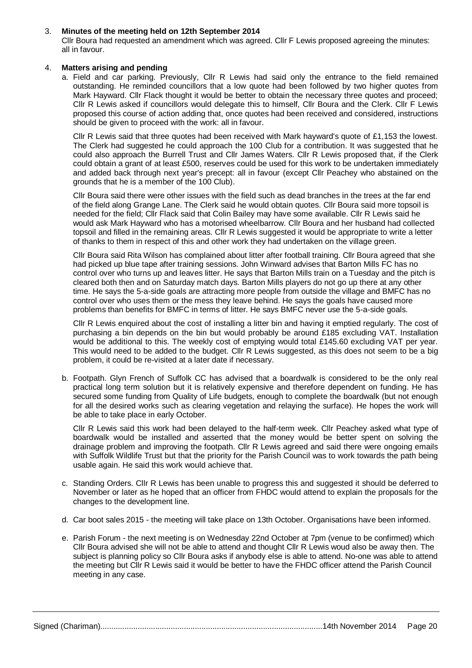### 3. **Minutes of the meeting held on 12th September 2014**

Cllr Boura had requested an amendment which was agreed. Cllr F Lewis proposed agreeing the minutes: all in favour.

#### 4. **Matters arising and pending**

a. Field and car parking. Previously, Cllr R Lewis had said only the entrance to the field remained outstanding. He reminded councillors that a low quote had been followed by two higher quotes from Mark Hayward. Cllr Flack thought it would be better to obtain the necessary three quotes and proceed; Cllr R Lewis asked if councillors would delegate this to himself, Cllr Boura and the Clerk. Cllr F Lewis proposed this course of action adding that, once quotes had been received and considered, instructions should be given to proceed with the work: all in favour.

Cllr R Lewis said that three quotes had been received with Mark hayward's quote of £1,153 the lowest. The Clerk had suggested he could approach the 100 Club for a contribution. It was suggested that he could also approach the Burrell Trust and Cllr James Waters. Cllr R Lewis proposed that, if the Clerk could obtain a grant of at least £500, reserves could be used for this work to be undertaken immediately and added back through next year's precept: all in favour (except Cllr Peachey who abstained on the grounds that he is a member of the 100 Club).

Cllr Boura said there were other issues with the field such as dead branches in the trees at the far end of the field along Grange Lane. The Clerk said he would obtain quotes. Cllr Boura said more topsoil is needed for the field; Cllr Flack said that Colin Bailey may have some available. Cllr R Lewis said he would ask Mark Hayward who has a motorised wheelbarrow. Cllr Boura and her husband had collected topsoil and filled in the remaining areas. Cllr R Lewis suggested it would be appropriate to write a letter of thanks to them in respect of this and other work they had undertaken on the village green.

Cllr Boura said Rita Wilson has complained about litter after football training. Cllr Boura agreed that she had picked up blue tape after training sessions. John Winward advises that Barton Mills FC has no control over who turns up and leaves litter. He says that Barton Mills train on a Tuesday and the pitch is cleared both then and on Saturday match days. Barton Mills players do not go up there at any other time. He says the 5-a-side goals are attracting more people from outside the village and BMFC has no control over who uses them or the mess they leave behind. He says the goals have caused more problems than benefits for BMFC in terms of litter. He says BMFC never use the 5-a-side goals.

Cllr R Lewis enquired about the cost of installing a litter bin and having it emptied regularly. The cost of purchasing a bin depends on the bin but would probably be around £185 excluding VAT. Installation would be additional to this. The weekly cost of emptying would total £145.60 excluding VAT per year. This would need to be added to the budget. Cllr R Lewis suggested, as this does not seem to be a big problem, it could be re-visited at a later date if necessary.

b. Footpath. Glyn French of Suffolk CC has advised that a boardwalk is considered to be the only real practical long term solution but it is relatively expensive and therefore dependent on funding. He has secured some funding from Quality of Life budgets, enough to complete the boardwalk (but not enough for all the desired works such as clearing vegetation and relaying the surface). He hopes the work will be able to take place in early October.

Cllr R Lewis said this work had been delayed to the half-term week. Cllr Peachey asked what type of boardwalk would be installed and asserted that the money would be better spent on solving the drainage problem and improving the footpath. Cllr R Lewis agreed and said there were ongoing emails with Suffolk Wildlife Trust but that the priority for the Parish Council was to work towards the path being usable again. He said this work would achieve that.

- c. Standing Orders. Cllr R Lewis has been unable to progress this and suggested it should be deferred to November or later as he hoped that an officer from FHDC would attend to explain the proposals for the changes to the development line.
- d. Car boot sales 2015 the meeting will take place on 13th October. Organisations have been informed.
- e. Parish Forum the next meeting is on Wednesday 22nd October at 7pm (venue to be confirmed) which Cllr Boura advised she will not be able to attend and thought Cllr R Lewis woud also be away then. The subject is planning policy so Cllr Boura asks if anybody else is able to attend. No-one was able to attend the meeting but Cllr R Lewis said it would be better to have the FHDC officer attend the Parish Council meeting in any case.